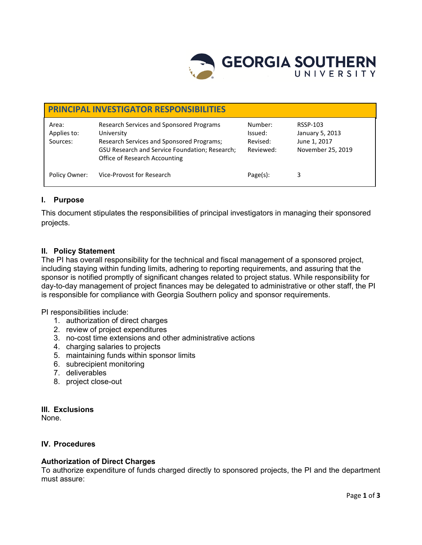

| <b>PRINCIPAL INVESTIGATOR RESPONSIBILITIES</b> |                                                                                                                                                                                        |                                             |                                                                  |
|------------------------------------------------|----------------------------------------------------------------------------------------------------------------------------------------------------------------------------------------|---------------------------------------------|------------------------------------------------------------------|
| Area:<br>Applies to:<br>Sources:               | Research Services and Sponsored Programs<br>University<br>Research Services and Sponsored Programs;<br>GSU Research and Service Foundation; Research;<br>Office of Research Accounting | Number:<br>Issued:<br>Revised:<br>Reviewed: | RSSP-103<br>January 5, 2013<br>June 1, 2017<br>November 25, 2019 |
| Policy Owner:                                  | Vice-Provost for Research                                                                                                                                                              | $Page(s)$ :                                 | 3                                                                |

# **I. Purpose**

This document stipulates the responsibilities of principal investigators in managing their sponsored projects.

## **II. Policy Statement**

The PI has overall responsibility for the technical and fiscal management of a sponsored project, including staying within funding limits, adhering to reporting requirements, and assuring that the sponsor is notified promptly of significant changes related to project status. While responsibility for day-to-day management of project finances may be delegated to administrative or other staff, the PI is responsible for compliance with Georgia Southern policy and sponsor requirements.

PI responsibilities include:

- 1. authorization of direct charges
- 2. review of project expenditures
- 3. no-cost time extensions and other administrative actions
- 4. charging salaries to projects
- 5. maintaining funds within sponsor limits
- 6. subrecipient monitoring
- 7. deliverables
- 8. project close-out

### **III. Exclusions**

None.

### **IV. Procedures**

### **Authorization of Direct Charges**

To authorize expenditure of funds charged directly to sponsored projects, the PI and the department must assure: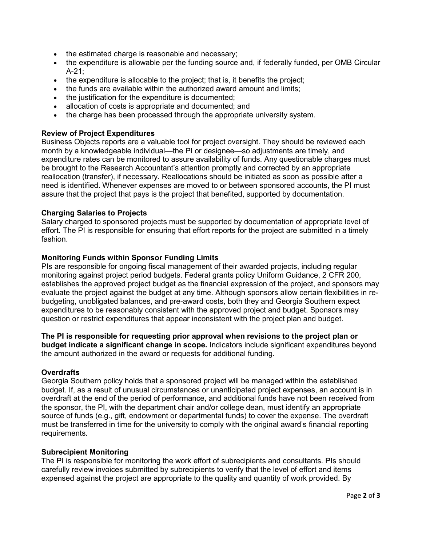- the estimated charge is reasonable and necessary:
- the expenditure is allowable per the funding source and, if federally funded, per OMB Circular A-21;
- the expenditure is allocable to the project; that is, it benefits the project;
- the funds are available within the authorized award amount and limits;
- the justification for the expenditure is documented;
- allocation of costs is appropriate and documented; and
- the charge has been processed through the appropriate university system.

### **Review of Project Expenditures**

Business Objects reports are a valuable tool for project oversight. They should be reviewed each month by a knowledgeable individual—the PI or designee—so adjustments are timely, and expenditure rates can be monitored to assure availability of funds. Any questionable charges must be brought to the Research Accountant's attention promptly and corrected by an appropriate reallocation (transfer), if necessary. Reallocations should be initiated as soon as possible after a need is identified. Whenever expenses are moved to or between sponsored accounts, the PI must assure that the project that pays is the project that benefited, supported by documentation.

### **Charging Salaries to Projects**

Salary charged to sponsored projects must be supported by documentation of appropriate level of effort. The PI is responsible for ensuring that effort reports for the project are submitted in a timely fashion.

### **Monitoring Funds within Sponsor Funding Limits**

PIs are responsible for ongoing fiscal management of their awarded projects, including regular monitoring against project period budgets. Federal grants policy Uniform Guidance, 2 CFR 200, establishes the approved project budget as the financial expression of the project, and sponsors may evaluate the project against the budget at any time. Although sponsors allow certain flexibilities in rebudgeting, unobligated balances, and pre-award costs, both they and Georgia Southern expect expenditures to be reasonably consistent with the approved project and budget. Sponsors may question or restrict expenditures that appear inconsistent with the project plan and budget.

**The PI is responsible for requesting prior approval when revisions to the project plan or budget indicate a significant change in scope.** Indicators include significant expenditures beyond the amount authorized in the award or requests for additional funding.

### **Overdrafts**

Georgia Southern policy holds that a sponsored project will be managed within the established budget. If, as a result of unusual circumstances or unanticipated project expenses, an account is in overdraft at the end of the period of performance, and additional funds have not been received from the sponsor, the PI, with the department chair and/or college dean, must identify an appropriate source of funds (e.g., gift, endowment or departmental funds) to cover the expense. The overdraft must be transferred in time for the university to comply with the original award's financial reporting requirements.

### **Subrecipient Monitoring**

The PI is responsible for monitoring the work effort of subrecipients and consultants. PIs should carefully review invoices submitted by subrecipients to verify that the level of effort and items expensed against the project are appropriate to the quality and quantity of work provided. By